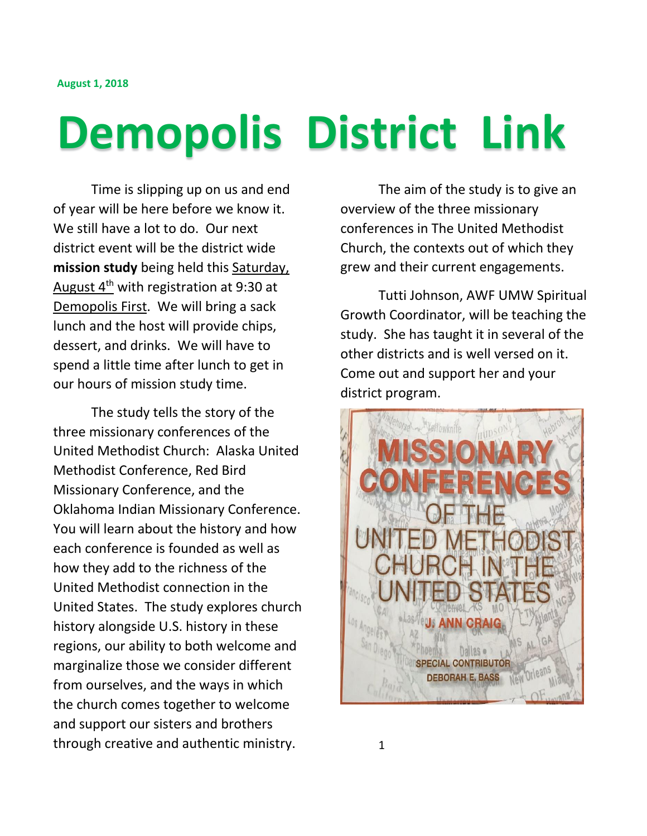## **Demopolis District Link**

Time is slipping up on us and end of year will be here before we know it. We still have a lot to do. Our next district event will be the district wide **mission study** being held this Saturday, August  $4<sup>th</sup>$  with registration at 9:30 at Demopolis First. We will bring a sack lunch and the host will provide chips, dessert, and drinks. We will have to spend a little time after lunch to get in our hours of mission study time.

The study tells the story of the three missionary conferences of the United Methodist Church: Alaska United Methodist Conference, Red Bird Missionary Conference, and the Oklahoma Indian Missionary Conference. You will learn about the history and how each conference is founded as well as how they add to the richness of the United Methodist connection in the United States. The study explores church history alongside U.S. history in these regions, our ability to both welcome and marginalize those we consider different from ourselves, and the ways in which the church comes together to welcome and support our sisters and brothers through creative and authentic ministry.

The aim of the study is to give an overview of the three missionary conferences in The United Methodist Church, the contexts out of which they grew and their current engagements.

Tutti Johnson, AWF UMW Spiritual Growth Coordinator, will be teaching the study. She has taught it in several of the other districts and is well versed on it. Come out and support her and your district program.

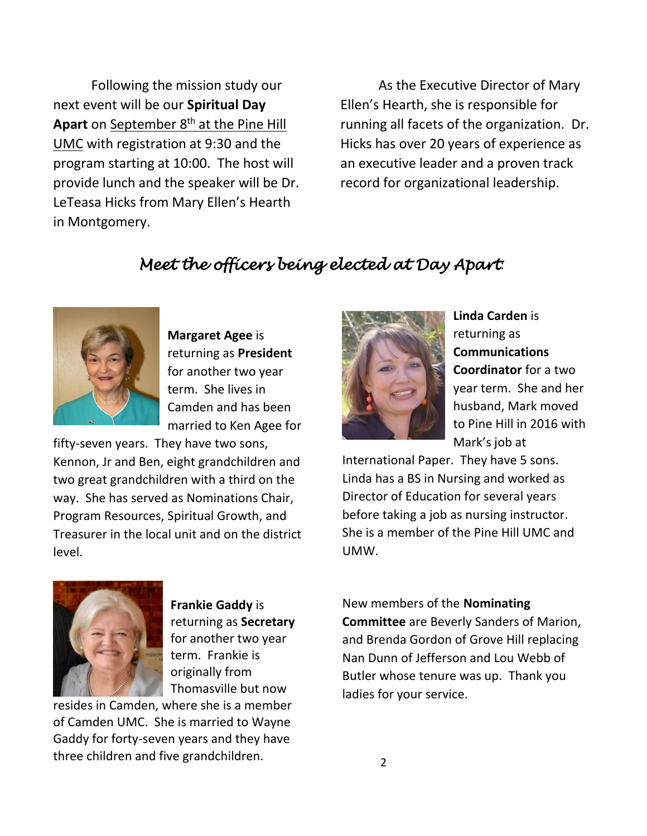Following the mission study our next event will be our **Spiritual Day**  Apart on September 8<sup>th</sup> at the Pine Hill UMC with registration at 9:30 and the program starting at 10:00. The host will provide lunch and the speaker will be Dr. LeTeasa Hicks from Mary Ellen's Hearth in Montgomery.

As the Executive Director of Mary Ellen's Hearth, she is responsible for running all facets of the organization. Dr. Hicks has over 20 years of experience as an executive leader and a proven track record for organizational leadership.

## *Meet the officers being elected at Day Apart*:



**Margaret Agee** is returning as **President** for another two year term. She lives in Camden and has been married to Ken Agee for

fifty-seven years. They have two sons, Kennon, Jr and Ben, eight grandchildren and two great grandchildren with a third on the way. She has served as Nominations Chair, Program Resources, Spiritual Growth, and Treasurer in the local unit and on the district level.



**Linda Carden** is returning as **Communications Coordinator** for a two year term. She and her husband, Mark moved to Pine Hill in 2016 with Mark's job at

International Paper. They have 5 sons. Linda has a BS in Nursing and worked as Director of Education for several years before taking a job as nursing instructor. She is a member of the Pine Hill UMC and UMW.



**Frankie Gaddy** is returning as **Secretary** for another two year term. Frankie is originally from Thomasville but now

resides in Camden, where she is a member of Camden UMC. She is married to Wayne Gaddy for forty-seven years and they have three children and five grandchildren.

New members of the **Nominating Committee** are Beverly Sanders of Marion, and Brenda Gordon of Grove Hill replacing Nan Dunn of Jefferson and Lou Webb of Butler whose tenure was up. Thank you ladies for your service.